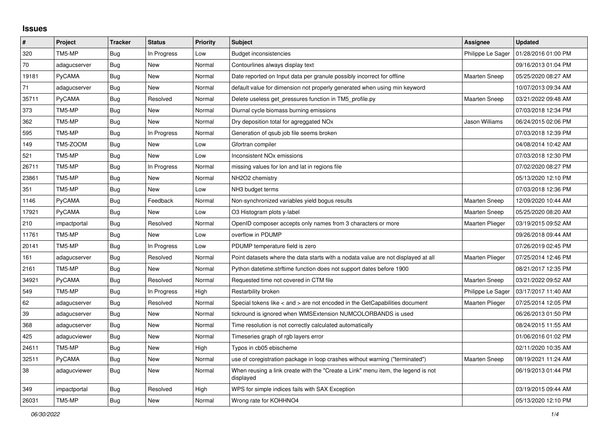## **Issues**

| $\pmb{\sharp}$ | Project      | <b>Tracker</b> | <b>Status</b> | <b>Priority</b> | Subject                                                                                       | Assignee               | <b>Updated</b>      |
|----------------|--------------|----------------|---------------|-----------------|-----------------------------------------------------------------------------------------------|------------------------|---------------------|
| 320            | TM5-MP       | Bug            | In Progress   | Low             | Budget inconsistencies                                                                        | Philippe Le Sager      | 01/28/2016 01:00 PM |
| 70             | adagucserver | Bug            | <b>New</b>    | Normal          | Contourlines always display text                                                              |                        | 09/16/2013 01:04 PM |
| 19181          | PyCAMA       | Bug            | New           | Normal          | Date reported on Input data per granule possibly incorrect for offline                        | <b>Maarten Sneep</b>   | 05/25/2020 08:27 AM |
| 71             | adagucserver | Bug            | <b>New</b>    | Normal          | default value for dimension not properly generated when using min keyword                     |                        | 10/07/2013 09:34 AM |
| 35711          | PyCAMA       | Bug            | Resolved      | Normal          | Delete useless get pressures function in TM5 profile.py                                       | <b>Maarten Sneep</b>   | 03/21/2022 09:48 AM |
| 373            | TM5-MP       | <b>Bug</b>     | <b>New</b>    | Normal          | Diurnal cycle biomass burning emissions                                                       |                        | 07/03/2018 12:34 PM |
| 362            | TM5-MP       | Bug            | New           | Normal          | Dry deposition total for agreggated NO <sub>x</sub>                                           | Jason Williams         | 06/24/2015 02:06 PM |
| 595            | TM5-MP       | Bug            | In Progress   | Normal          | Generation of qsub job file seems broken                                                      |                        | 07/03/2018 12:39 PM |
| 149            | TM5-ZOOM     | Bug            | <b>New</b>    | Low             | Gfortran compiler                                                                             |                        | 04/08/2014 10:42 AM |
| 521            | TM5-MP       | Bug            | New           | Low             | <b>Inconsistent NOx emissions</b>                                                             |                        | 07/03/2018 12:30 PM |
| 26711          | TM5-MP       | Bug            | In Progress   | Normal          | missing values for lon and lat in regions file                                                |                        | 07/02/2020 08:27 PM |
| 23861          | TM5-MP       | <b>Bug</b>     | New           | Normal          | NH2O2 chemistry                                                                               |                        | 05/13/2020 12:10 PM |
| 351            | TM5-MP       | Bug            | New           | Low             | NH3 budget terms                                                                              |                        | 07/03/2018 12:36 PM |
| 1146           | PyCAMA       | Bug            | Feedback      | Normal          | Non-synchronized variables yield bogus results                                                | <b>Maarten Sneep</b>   | 12/09/2020 10:44 AM |
| 17921          | PyCAMA       | Bug            | <b>New</b>    | Low             | O3 Histogram plots y-label                                                                    | <b>Maarten Sneep</b>   | 05/25/2020 08:20 AM |
| 210            | impactportal | <b>Bug</b>     | Resolved      | Normal          | OpenID composer accepts only names from 3 characters or more                                  | <b>Maarten Plieger</b> | 03/19/2015 09:52 AM |
| 11761          | TM5-MP       | Bug            | New           | Low             | overflow in PDUMP                                                                             |                        | 09/26/2018 09:44 AM |
| 20141          | TM5-MP       | Bug            | In Progress   | Low             | PDUMP temperature field is zero                                                               |                        | 07/26/2019 02:45 PM |
| 161            | adagucserver | Bug            | Resolved      | Normal          | Point datasets where the data starts with a nodata value are not displayed at all             | <b>Maarten Plieger</b> | 07/25/2014 12:46 PM |
| 2161           | TM5-MP       | Bug            | New           | Normal          | Python datetime.strftime function does not support dates before 1900                          |                        | 08/21/2017 12:35 PM |
| 34921          | PyCAMA       | <b>Bug</b>     | Resolved      | Normal          | Requested time not covered in CTM file                                                        | Maarten Sneep          | 03/21/2022 09:52 AM |
| 549            | TM5-MP       | <b>Bug</b>     | In Progress   | High            | Restarbility broken                                                                           | Philippe Le Sager      | 03/17/2017 11:40 AM |
| 62             | adagucserver | <b>Bug</b>     | Resolved      | Normal          | Special tokens like < and > are not encoded in the GetCapabilities document                   | Maarten Plieger        | 07/25/2014 12:05 PM |
| 39             | adagucserver | <b>Bug</b>     | <b>New</b>    | Normal          | tickround is ignored when WMSExtension NUMCOLORBANDS is used                                  |                        | 06/26/2013 01:50 PM |
| 368            | adagucserver | Bug            | <b>New</b>    | Normal          | Time resolution is not correctly calculated automatically                                     |                        | 08/24/2015 11:55 AM |
| 425            | adagucviewer | <b>Bug</b>     | <b>New</b>    | Normal          | Timeseries graph of rgb layers error                                                          |                        | 01/06/2016 01:02 PM |
| 24611          | TM5-MP       | <b>Bug</b>     | New           | High            | Typos in cb05 ebischeme                                                                       |                        | 02/11/2020 10:35 AM |
| 32511          | PyCAMA       | Bug            | <b>New</b>    | Normal          | use of coregistration package in loop crashes without warning ("terminated")                  | <b>Maarten Sneep</b>   | 08/19/2021 11:24 AM |
| 38             | adagucviewer | <b>Bug</b>     | <b>New</b>    | Normal          | When reusing a link create with the "Create a Link" menu item, the legend is not<br>displayed |                        | 06/19/2013 01:44 PM |
| 349            | impactportal | <b>Bug</b>     | Resolved      | High            | WPS for simple indices fails with SAX Exception                                               |                        | 03/19/2015 09:44 AM |
| 26031          | TM5-MP       | <b>Bug</b>     | New           | Normal          | Wrong rate for KOHHNO4                                                                        |                        | 05/13/2020 12:10 PM |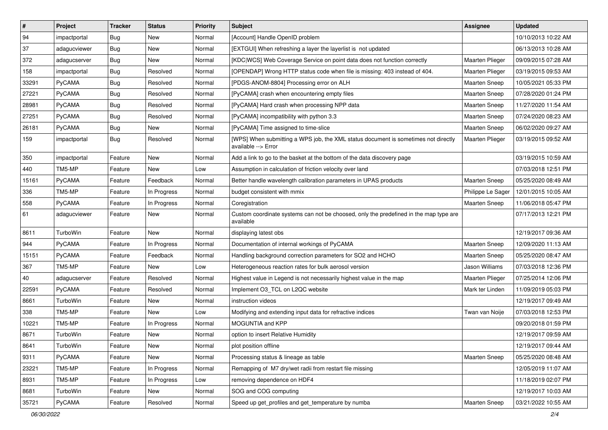| $\vert$ # | Project      | <b>Tracker</b> | <b>Status</b> | <b>Priority</b> | <b>Subject</b>                                                                                            | <b>Assignee</b>        | <b>Updated</b>      |
|-----------|--------------|----------------|---------------|-----------------|-----------------------------------------------------------------------------------------------------------|------------------------|---------------------|
| 94        | impactportal | <b>Bug</b>     | New           | Normal          | [Account] Handle OpenID problem                                                                           |                        | 10/10/2013 10:22 AM |
| 37        | adagucviewer | <b>Bug</b>     | <b>New</b>    | Normal          | [EXTGUI] When refreshing a layer the layerlist is not updated                                             |                        | 06/13/2013 10:28 AM |
| 372       | adagucserver | <b>Bug</b>     | New           | Normal          | [KDC WCS] Web Coverage Service on point data does not function correctly                                  | Maarten Plieger        | 09/09/2015 07:28 AM |
| 158       | impactportal | Bug            | Resolved      | Normal          | [OPENDAP] Wrong HTTP status code when file is missing: 403 instead of 404.                                | <b>Maarten Plieger</b> | 03/19/2015 09:53 AM |
| 33291     | PyCAMA       | <b>Bug</b>     | Resolved      | Normal          | [PDGS-ANOM-8804] Processing error on ALH                                                                  | Maarten Sneep          | 10/05/2021 05:33 PM |
| 27221     | PyCAMA       | <b>Bug</b>     | Resolved      | Normal          | [PyCAMA] crash when encountering empty files                                                              | <b>Maarten Sneep</b>   | 07/28/2020 01:24 PM |
| 28981     | PyCAMA       | <b>Bug</b>     | Resolved      | Normal          | [PyCAMA] Hard crash when processing NPP data                                                              | Maarten Sneep          | 11/27/2020 11:54 AM |
| 27251     | PyCAMA       | <b>Bug</b>     | Resolved      | Normal          | [PyCAMA] incompatibility with python 3.3                                                                  | <b>Maarten Sneep</b>   | 07/24/2020 08:23 AM |
| 26181     | PyCAMA       | <b>Bug</b>     | New           | Normal          | [PyCAMA] Time assigned to time-slice                                                                      | Maarten Sneep          | 06/02/2020 09:27 AM |
| 159       | impactportal | <b>Bug</b>     | Resolved      | Normal          | [WPS] When submitting a WPS job, the XML status document is sometimes not directly<br>available --> Error | Maarten Plieger        | 03/19/2015 09:52 AM |
| 350       | impactportal | Feature        | <b>New</b>    | Normal          | Add a link to go to the basket at the bottom of the data discovery page                                   |                        | 03/19/2015 10:59 AM |
| 440       | TM5-MP       | Feature        | <b>New</b>    | Low             | Assumption in calculation of friction velocity over land                                                  |                        | 07/03/2018 12:51 PM |
| 15161     | PyCAMA       | Feature        | Feedback      | Normal          | Better handle wavelength calibration parameters in UPAS products                                          | Maarten Sneep          | 05/25/2020 08:49 AM |
| 336       | TM5-MP       | Feature        | In Progress   | Normal          | budget consistent with mmix                                                                               | Philippe Le Sager      | 12/01/2015 10:05 AM |
| 558       | PyCAMA       | Feature        | In Progress   | Normal          | Coregistration                                                                                            | <b>Maarten Sneep</b>   | 11/06/2018 05:47 PM |
| 61        | adagucviewer | Feature        | New           | Normal          | Custom coordinate systems can not be choosed, only the predefined in the map type are<br>available        |                        | 07/17/2013 12:21 PM |
| 8611      | TurboWin     | Feature        | New           | Normal          | displaying latest obs                                                                                     |                        | 12/19/2017 09:36 AM |
| 944       | PyCAMA       | Feature        | In Progress   | Normal          | Documentation of internal workings of PyCAMA                                                              | <b>Maarten Sneep</b>   | 12/09/2020 11:13 AM |
| 15151     | PyCAMA       | Feature        | Feedback      | Normal          | Handling background correction parameters for SO2 and HCHO                                                | Maarten Sneep          | 05/25/2020 08:47 AM |
| 367       | TM5-MP       | Feature        | New           | Low             | Heterogeneous reaction rates for bulk aerosol version                                                     | Jason Williams         | 07/03/2018 12:36 PM |
| 40        | adagucserver | Feature        | Resolved      | Normal          | Highest value in Legend is not necessarily highest value in the map                                       | Maarten Plieger        | 07/25/2014 12:06 PM |
| 22591     | PyCAMA       | Feature        | Resolved      | Normal          | Implement O3_TCL on L2QC website                                                                          | Mark ter Linden        | 11/09/2019 05:03 PM |
| 8661      | TurboWin     | Feature        | New           | Normal          | instruction videos                                                                                        |                        | 12/19/2017 09:49 AM |
| 338       | TM5-MP       | Feature        | <b>New</b>    | Low             | Modifying and extending input data for refractive indices                                                 | Twan van Noije         | 07/03/2018 12:53 PM |
| 10221     | TM5-MP       | Feature        | In Progress   | Normal          | MOGUNTIA and KPP                                                                                          |                        | 09/20/2018 01:59 PM |
| 8671      | TurboWin     | Feature        | New           | Normal          | option to insert Relative Humidity                                                                        |                        | 12/19/2017 09:59 AM |
| 8641      | TurboWin     | Feature        | New           | Normal          | plot position offline                                                                                     |                        | 12/19/2017 09:44 AM |
| 9311      | PyCAMA       | Feature        | New           | Normal          | Processing status & lineage as table                                                                      | Maarten Sneep          | 05/25/2020 08:48 AM |
| 23221     | TM5-MP       | Feature        | In Progress   | Normal          | Remapping of M7 dry/wet radii from restart file missing                                                   |                        | 12/05/2019 11:07 AM |
| 8931      | TM5-MP       | Feature        | In Progress   | Low             | removing dependence on HDF4                                                                               |                        | 11/18/2019 02:07 PM |
| 8681      | TurboWin     | Feature        | New           | Normal          | SOG and COG computing                                                                                     |                        | 12/19/2017 10:03 AM |
| 35721     | PyCAMA       | Feature        | Resolved      | Normal          | Speed up get_profiles and get_temperature by numba                                                        | Maarten Sneep          | 03/21/2022 10:55 AM |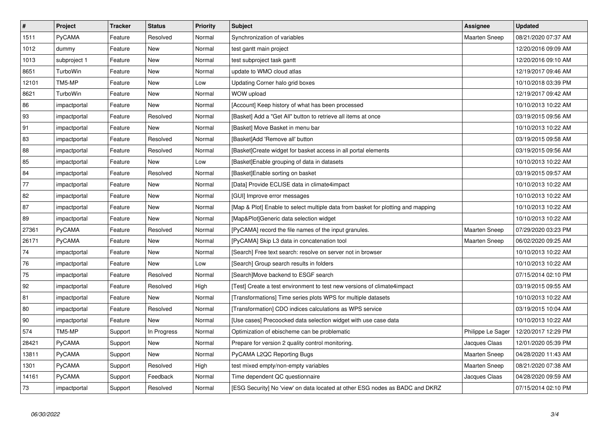| $\pmb{\#}$ | Project         | <b>Tracker</b> | <b>Status</b> | <b>Priority</b> | <b>Subject</b>                                                                   | Assignee             | <b>Updated</b>      |
|------------|-----------------|----------------|---------------|-----------------|----------------------------------------------------------------------------------|----------------------|---------------------|
| 1511       | PyCAMA          | Feature        | Resolved      | Normal          | Synchronization of variables                                                     | <b>Maarten Sneep</b> | 08/21/2020 07:37 AM |
| 1012       | dummy           | Feature        | <b>New</b>    | Normal          | test gantt main project                                                          |                      | 12/20/2016 09:09 AM |
| 1013       | subproject 1    | Feature        | New           | Normal          | test subproject task gantt                                                       |                      | 12/20/2016 09:10 AM |
| 8651       | TurboWin        | Feature        | New           | Normal          | update to WMO cloud atlas                                                        |                      | 12/19/2017 09:46 AM |
| 12101      | TM5-MP          | Feature        | New           | Low             | Updating Corner halo grid boxes                                                  |                      | 10/10/2018 03:39 PM |
| 8621       | <b>TurboWin</b> | Feature        | <b>New</b>    | Normal          | WOW upload                                                                       |                      | 12/19/2017 09:42 AM |
| 86         | impactportal    | Feature        | New           | Normal          | [Account] Keep history of what has been processed                                |                      | 10/10/2013 10:22 AM |
| 93         | impactportal    | Feature        | Resolved      | Normal          | [Basket] Add a "Get All" button to retrieve all items at once                    |                      | 03/19/2015 09:56 AM |
| 91         | impactportal    | Feature        | New           | Normal          | [Basket] Move Basket in menu bar                                                 |                      | 10/10/2013 10:22 AM |
| 83         | impactportal    | Feature        | Resolved      | Normal          | [Basket]Add 'Remove all' button                                                  |                      | 03/19/2015 09:58 AM |
| 88         | impactportal    | Feature        | Resolved      | Normal          | [Basket]Create widget for basket access in all portal elements                   |                      | 03/19/2015 09:56 AM |
| 85         | impactportal    | Feature        | New           | Low             | [Basket]Enable grouping of data in datasets                                      |                      | 10/10/2013 10:22 AM |
| 84         | impactportal    | Feature        | Resolved      | Normal          | [Basket]Enable sorting on basket                                                 |                      | 03/19/2015 09:57 AM |
| 77         | impactportal    | Feature        | New           | Normal          | [Data] Provide ECLISE data in climate4impact                                     |                      | 10/10/2013 10:22 AM |
| 82         | impactportal    | Feature        | New           | Normal          | [GUI] Improve error messages                                                     |                      | 10/10/2013 10:22 AM |
| 87         | impactportal    | Feature        | New           | Normal          | [Map & Plot] Enable to select multiple data from basket for plotting and mapping |                      | 10/10/2013 10:22 AM |
| 89         | impactportal    | Feature        | New           | Normal          | [Map&Plot]Generic data selection widget                                          |                      | 10/10/2013 10:22 AM |
| 27361      | PyCAMA          | Feature        | Resolved      | Normal          | [PyCAMA] record the file names of the input granules.                            | <b>Maarten Sneep</b> | 07/29/2020 03:23 PM |
| 26171      | PyCAMA          | Feature        | New           | Normal          | [PyCAMA] Skip L3 data in concatenation tool                                      | <b>Maarten Sneep</b> | 06/02/2020 09:25 AM |
| 74         | impactportal    | Feature        | <b>New</b>    | Normal          | [Search] Free text search: resolve on server not in browser                      |                      | 10/10/2013 10:22 AM |
| 76         | impactportal    | Feature        | New           | Low             | [Search] Group search results in folders                                         |                      | 10/10/2013 10:22 AM |
| 75         | impactportal    | Feature        | Resolved      | Normal          | [Search]Move backend to ESGF search                                              |                      | 07/15/2014 02:10 PM |
| 92         | impactportal    | Feature        | Resolved      | High            | [Test] Create a test environment to test new versions of climate4impact          |                      | 03/19/2015 09:55 AM |
| 81         | impactportal    | Feature        | New           | Normal          | [Transformations] Time series plots WPS for multiple datasets                    |                      | 10/10/2013 10:22 AM |
| 80         | impactportal    | Feature        | Resolved      | Normal          | [Transformation] CDO indices calculations as WPS service                         |                      | 03/19/2015 10:04 AM |
| 90         | impactportal    | Feature        | New           | Normal          | [Use cases] Precoocked data selection widget with use case data                  |                      | 10/10/2013 10:22 AM |
| 574        | TM5-MP          | Support        | In Progress   | Normal          | Optimization of ebischeme can be problematic                                     | Philippe Le Sager    | 12/20/2017 12:29 PM |
| 28421      | PyCAMA          | Support        | New           | Normal          | Prepare for version 2 quality control monitoring.                                | Jacques Claas        | 12/01/2020 05:39 PM |
| 13811      | PyCAMA          | Support        | New           | Normal          | PyCAMA L2QC Reporting Bugs                                                       | <b>Maarten Sneep</b> | 04/28/2020 11:43 AM |
| 1301       | PyCAMA          | Support        | Resolved      | High            | test mixed empty/non-empty variables                                             | <b>Maarten Sneep</b> | 08/21/2020 07:38 AM |
| 14161      | PyCAMA          | Support        | Feedback      | Normal          | Time dependent QC questionnaire                                                  | Jacques Claas        | 04/28/2020 09:59 AM |
| 73         | impactportal    | Support        | Resolved      | Normal          | [ESG Security] No 'view' on data located at other ESG nodes as BADC and DKRZ     |                      | 07/15/2014 02:10 PM |